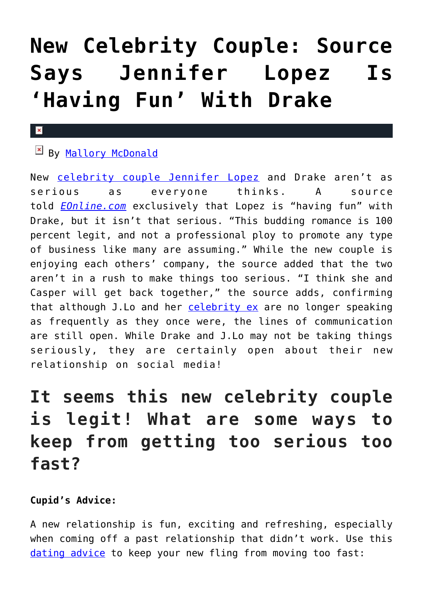# **[New Celebrity Couple: Source](https://cupidspulse.com/116134/new-celebrity-couple-jennifer-lopez-having-fun-with-drake/) [Says Jennifer Lopez Is](https://cupidspulse.com/116134/new-celebrity-couple-jennifer-lopez-having-fun-with-drake/) ['Having Fun' With Drake](https://cupidspulse.com/116134/new-celebrity-couple-jennifer-lopez-having-fun-with-drake/)**

#### $\mathbf{x}$

## By [Mallory McDonald](http://cupidspulse.com/114888/mallory-mcdonald/)

New [celebrity couple](http://cupidspulse.com/celebrity-relationships/long-term-relationships-flings/) [Jennifer Lopez](http://cupidspulse.com/86083/jennifer-lopez/) and Drake aren't as serious as everyone thinks. A source told *[EOnline.com](http://www.eonline.com/news/818881/jennifer-lopez-is-having-fun-with-drake-but-it-s-not-that-serious)* exclusively that Lopez is "having fun" with Drake, but it isn't that serious. "This budding romance is 100 percent legit, and not a professional ploy to promote any type of business like many are assuming." While the new couple is enjoying each others' company, the source added that the two aren't in a rush to make things too serious. "I think she and Casper will get back together," the source adds, confirming that although J.Lo and her [celebrity ex](http://cupidspulse.com/celebrity-relationships/break-up-divorce/) are no longer speaking as frequently as they once were, the lines of communication are still open. While Drake and J.Lo may not be taking things seriously, they are certainly open about their new relationship on social media!

# **It seems this new celebrity couple is legit! What are some ways to keep from getting too serious too fast?**

### **Cupid's Advice:**

A new relationship is fun, exciting and refreshing, especially when coming off a past relationship that didn't work. Use this [dating advice](http://cupidspulse.com/relationship-experts/) to keep your new fling from moving too fast: